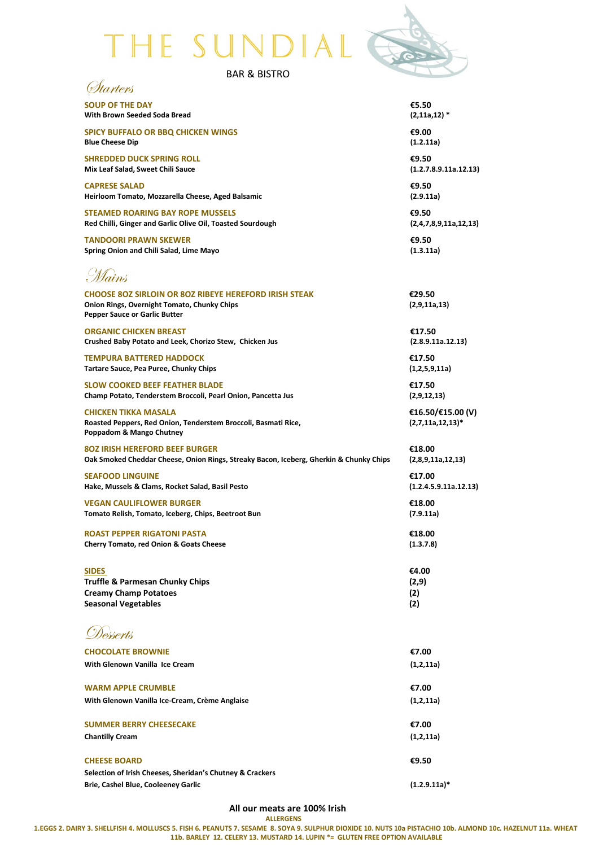# THE SUNDIAL



| <b>BAR &amp; BISTRO</b> |
|-------------------------|
|                         |

| <i>Starters</i>                                                                                                                                     |                                          |
|-----------------------------------------------------------------------------------------------------------------------------------------------------|------------------------------------------|
| <b>SOUP OF THE DAY</b>                                                                                                                              | €5.50                                    |
| With Brown Seeded Soda Bread                                                                                                                        | $(2, 11a, 12)$ *                         |
| <b>SPICY BUFFALO OR BBQ CHICKEN WINGS</b>                                                                                                           | €9.00                                    |
| <b>Blue Cheese Dip</b>                                                                                                                              | (1.2.11a)                                |
| <b>SHREDDED DUCK SPRING ROLL</b>                                                                                                                    | €9.50                                    |
| Mix Leaf Salad, Sweet Chili Sauce                                                                                                                   | (1.2.7.8.9.11a.12.13)                    |
| <b>CAPRESE SALAD</b>                                                                                                                                | €9.50                                    |
| Heirloom Tomato, Mozzarella Cheese, Aged Balsamic                                                                                                   | (2.9.11a)                                |
| <b>STEAMED ROARING BAY ROPE MUSSELS</b>                                                                                                             | €9.50                                    |
| Red Chilli, Ginger and Garlic Olive Oil, Toasted Sourdough                                                                                          | (2,4,7,8,9,11a,12,13)                    |
| <b>TANDOORI PRAWN SKEWER</b>                                                                                                                        | €9.50                                    |
| Spring Onion and Chili Salad, Lime Mayo                                                                                                             | (1.3.11a)                                |
| Mains                                                                                                                                               |                                          |
| <b>CHOOSE 80Z SIRLOIN OR 80Z RIBEYE HEREFORD IRISH STEAK</b><br>Onion Rings, Overnight Tomato, Chunky Chips<br><b>Pepper Sauce or Garlic Butter</b> | €29.50<br>(2,9,11a,13)                   |
| <b>ORGANIC CHICKEN BREAST</b>                                                                                                                       | €17.50                                   |
| Crushed Baby Potato and Leek, Chorizo Stew, Chicken Jus                                                                                             | (2.8.9.11a.12.13)                        |
| <b>TEMPURA BATTERED HADDOCK</b>                                                                                                                     | €17.50                                   |
| Tartare Sauce, Pea Puree, Chunky Chips                                                                                                              | (1,2,5,9,11a)                            |
| <b>SLOW COOKED BEEF FEATHER BLADE</b>                                                                                                               | €17.50                                   |
| Champ Potato, Tenderstem Broccoli, Pearl Onion, Pancetta Jus                                                                                        | (2,9,12,13)                              |
| <b>CHICKEN TIKKA MASALA</b><br>Roasted Peppers, Red Onion, Tenderstem Broccoli, Basmati Rice,<br>Poppadom & Mango Chutney                           | €16.50/€15.00 (V)<br>$(2,7,11a,12,13)^*$ |
| <b>80Z IRISH HEREFORD BEEF BURGER</b>                                                                                                               | €18.00                                   |
| Oak Smoked Cheddar Cheese, Onion Rings, Streaky Bacon, Iceberg, Gherkin & Chunky Chips                                                              | (2,8,9,11a,12,13)                        |
| <b>SEAFOOD LINGUINE</b>                                                                                                                             | €17.00                                   |
| Hake, Mussels & Clams, Rocket Salad, Basil Pesto                                                                                                    | (1.2.4.5.9.11a.12.13)                    |
| <b>VEGAN CAULIFLOWER BURGER</b>                                                                                                                     | €18.00                                   |
| Tomato Relish, Tomato, Iceberg, Chips, Beetroot Bun                                                                                                 | (7.9.11a)                                |
| <b>ROAST PEPPER RIGATONI PASTA</b>                                                                                                                  | €18.00                                   |
| <b>Cherry Tomato, red Onion &amp; Goats Cheese</b>                                                                                                  | (1.3.7.8)                                |
| <b>SIDES</b>                                                                                                                                        | €4.00                                    |
| <b>Truffle &amp; Parmesan Chunky Chips</b>                                                                                                          | (2,9)                                    |
| <b>Creamy Champ Potatoes</b>                                                                                                                        | (2)                                      |
| <b>Seasonal Vegetables</b>                                                                                                                          | (2)                                      |
| Desserts                                                                                                                                            |                                          |
| <b>CHOCOLATE BROWNIE</b>                                                                                                                            | €7.00                                    |
| With Glenown Vanilla Ice Cream                                                                                                                      | (1,2,11a)                                |
| <b>WARM APPLE CRUMBLE</b>                                                                                                                           | €7.00                                    |
| With Glenown Vanilla Ice-Cream, Crème Anglaise                                                                                                      | (1,2,11a)                                |
| <b>SUMMER BERRY CHEESECAKE</b>                                                                                                                      | €7.00                                    |
| <b>Chantilly Cream</b>                                                                                                                              | (1,2,11a)                                |
| <b>CHEESE BOARD</b>                                                                                                                                 | €9.50                                    |
| Selection of Irish Cheeses, Sheridan's Chutney & Crackers<br>Brie, Cashel Blue, Cooleeney Garlic                                                    | $(1.2.9.11a)*$                           |

**All our meats are 100% Irish**

**ALLERGENS**